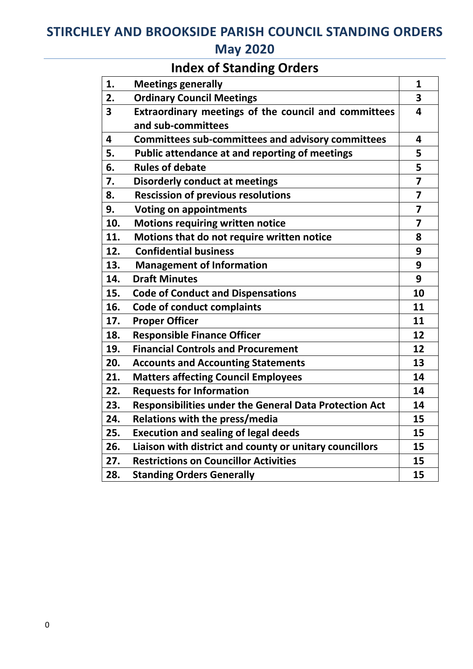## STIRCHLEY AND BROOKSIDE PARISH COUNCIL STANDING ORDERS May 2020

# Index of Standing Orders

| 1.                      | <b>Meetings generally</b>                                     | 1                       |
|-------------------------|---------------------------------------------------------------|-------------------------|
| 2.                      | <b>Ordinary Council Meetings</b>                              | 3                       |
| $\overline{\mathbf{3}}$ | Extraordinary meetings of the council and committees          | 4                       |
|                         | and sub-committees                                            |                         |
| 4                       | <b>Committees sub-committees and advisory committees</b>      | $\overline{\mathbf{4}}$ |
| 5.                      | <b>Public attendance at and reporting of meetings</b>         | 5                       |
| 6.                      | <b>Rules of debate</b>                                        | 5                       |
| 7.                      | <b>Disorderly conduct at meetings</b>                         | $\overline{7}$          |
| 8.                      | <b>Rescission of previous resolutions</b>                     | $\overline{\mathbf{z}}$ |
| 9.                      | <b>Voting on appointments</b>                                 | $\overline{\mathbf{z}}$ |
| 10.                     | <b>Motions requiring written notice</b>                       | $\overline{\mathbf{z}}$ |
| 11.                     | Motions that do not require written notice                    | 8                       |
| 12.                     | <b>Confidential business</b>                                  | 9                       |
| 13.                     | <b>Management of Information</b>                              | 9                       |
| 14.                     | <b>Draft Minutes</b>                                          | 9                       |
| 15.                     | <b>Code of Conduct and Dispensations</b>                      | 10                      |
| 16.                     | <b>Code of conduct complaints</b>                             | 11                      |
| 17.                     | <b>Proper Officer</b>                                         | 11                      |
| 18.                     | <b>Responsible Finance Officer</b>                            | 12                      |
| 19.                     | <b>Financial Controls and Procurement</b>                     | 12                      |
| 20.                     | <b>Accounts and Accounting Statements</b>                     | 13                      |
| 21.                     | <b>Matters affecting Council Employees</b>                    | 14                      |
| 22.                     | <b>Requests for Information</b>                               | 14                      |
| 23.                     | <b>Responsibilities under the General Data Protection Act</b> | 14                      |
| 24.                     | Relations with the press/media                                | 15                      |
| 25.                     | <b>Execution and sealing of legal deeds</b>                   | 15                      |
| 26.                     | Liaison with district and county or unitary councillors       | 15                      |
| 27.                     | <b>Restrictions on Councillor Activities</b>                  | 15                      |
| 28.                     | <b>Standing Orders Generally</b>                              | 15                      |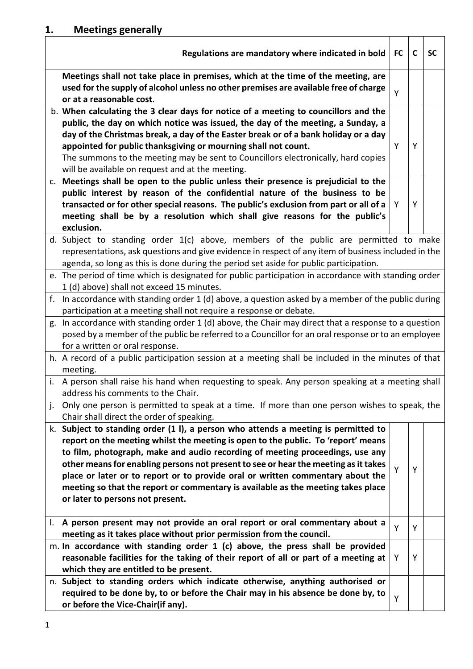|    | Regulations are mandatory where indicated in bold                                                                                                                                                                                                                                                                                                                                                                                                                                                                                                         | <b>FC</b> | $\mathbf c$ | <b>SC</b> |
|----|-----------------------------------------------------------------------------------------------------------------------------------------------------------------------------------------------------------------------------------------------------------------------------------------------------------------------------------------------------------------------------------------------------------------------------------------------------------------------------------------------------------------------------------------------------------|-----------|-------------|-----------|
|    | Meetings shall not take place in premises, which at the time of the meeting, are<br>used for the supply of alcohol unless no other premises are available free of charge<br>or at a reasonable cost.                                                                                                                                                                                                                                                                                                                                                      | Y         |             |           |
|    | b. When calculating the 3 clear days for notice of a meeting to councillors and the<br>public, the day on which notice was issued, the day of the meeting, a Sunday, a<br>day of the Christmas break, a day of the Easter break or of a bank holiday or a day<br>appointed for public thanksgiving or mourning shall not count.<br>The summons to the meeting may be sent to Councillors electronically, hard copies<br>will be available on request and at the meeting.                                                                                  | Y         | Y           |           |
|    | c. Meetings shall be open to the public unless their presence is prejudicial to the<br>public interest by reason of the confidential nature of the business to be<br>transacted or for other special reasons. The public's exclusion from part or all of a<br>meeting shall be by a resolution which shall give reasons for the public's<br>exclusion.                                                                                                                                                                                                    | Y         | Y           |           |
|    | d. Subject to standing order 1(c) above, members of the public are permitted to make<br>representations, ask questions and give evidence in respect of any item of business included in the<br>agenda, so long as this is done during the period set aside for public participation.                                                                                                                                                                                                                                                                      |           |             |           |
| f. | e. The period of time which is designated for public participation in accordance with standing order<br>1 (d) above) shall not exceed 15 minutes.<br>In accordance with standing order $1$ (d) above, a question asked by a member of the public during                                                                                                                                                                                                                                                                                                   |           |             |           |
|    | participation at a meeting shall not require a response or debate.<br>g. In accordance with standing order 1 (d) above, the Chair may direct that a response to a question<br>posed by a member of the public be referred to a Councillor for an oral response or to an employee<br>for a written or oral response.                                                                                                                                                                                                                                       |           |             |           |
|    | h. A record of a public participation session at a meeting shall be included in the minutes of that<br>meeting.                                                                                                                                                                                                                                                                                                                                                                                                                                           |           |             |           |
|    | i. A person shall raise his hand when requesting to speak. Any person speaking at a meeting shall<br>address his comments to the Chair.                                                                                                                                                                                                                                                                                                                                                                                                                   |           |             |           |
| j. | Only one person is permitted to speak at a time. If more than one person wishes to speak, the<br>Chair shall direct the order of speaking.                                                                                                                                                                                                                                                                                                                                                                                                                |           |             |           |
|    | k. Subject to standing order (1 l), a person who attends a meeting is permitted to<br>report on the meeting whilst the meeting is open to the public. To 'report' means<br>to film, photograph, make and audio recording of meeting proceedings, use any<br>other means for enabling persons not present to see or hear the meeting as it takes<br>place or later or to report or to provide oral or written commentary about the<br>meeting so that the report or commentary is available as the meeting takes place<br>or later to persons not present. | Y         | Y           |           |
|    | . A person present may not provide an oral report or oral commentary about a<br>meeting as it takes place without prior permission from the council.                                                                                                                                                                                                                                                                                                                                                                                                      | Y         | Y           |           |
|    | m. In accordance with standing order 1 (c) above, the press shall be provided<br>reasonable facilities for the taking of their report of all or part of a meeting at<br>which they are entitled to be present.                                                                                                                                                                                                                                                                                                                                            | Y         | Y           |           |
|    | n. Subject to standing orders which indicate otherwise, anything authorised or<br>required to be done by, to or before the Chair may in his absence be done by, to<br>or before the Vice-Chair(if any).                                                                                                                                                                                                                                                                                                                                                   | Y         |             |           |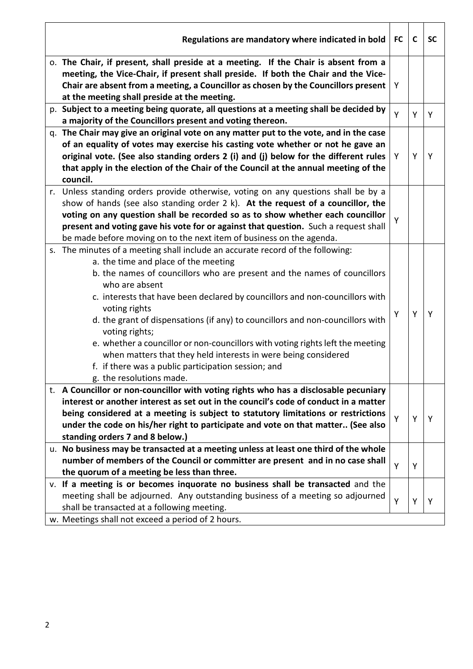| Regulations are mandatory where indicated in bold                                      | <b>FC</b> | C | <b>SC</b> |
|----------------------------------------------------------------------------------------|-----------|---|-----------|
| o. The Chair, if present, shall preside at a meeting. If the Chair is absent from a    |           |   |           |
| meeting, the Vice-Chair, if present shall preside. If both the Chair and the Vice-     |           |   |           |
| Chair are absent from a meeting, a Councillor as chosen by the Councillors present     | Υ         |   |           |
| at the meeting shall preside at the meeting.                                           |           |   |           |
| p. Subject to a meeting being quorate, all questions at a meeting shall be decided by  |           |   |           |
| a majority of the Councillors present and voting thereon.                              | Y         | Y | Y         |
| q. The Chair may give an original vote on any matter put to the vote, and in the case  |           |   |           |
| of an equality of votes may exercise his casting vote whether or not he gave an        |           |   |           |
| original vote. (See also standing orders 2 (i) and (j) below for the different rules   | Y         | Y | Y         |
| that apply in the election of the Chair of the Council at the annual meeting of the    |           |   |           |
| council.                                                                               |           |   |           |
| r. Unless standing orders provide otherwise, voting on any questions shall be by a     |           |   |           |
| show of hands (see also standing order $2 \, k$ ). At the request of a councillor, the |           |   |           |
| voting on any question shall be recorded so as to show whether each councillor         |           |   |           |
| present and voting gave his vote for or against that question. Such a request shall    | Y         |   |           |
| be made before moving on to the next item of business on the agenda.                   |           |   |           |
| s. The minutes of a meeting shall include an accurate record of the following:         |           |   |           |
| a. the time and place of the meeting                                                   |           |   |           |
| b. the names of councillors who are present and the names of councillors               |           |   |           |
| who are absent                                                                         |           |   |           |
| c. interests that have been declared by councillors and non-councillors with           |           |   |           |
| voting rights                                                                          |           |   |           |
| d. the grant of dispensations (if any) to councillors and non-councillors with         | Y         | Y | Y         |
| voting rights;                                                                         |           |   |           |
| e. whether a councillor or non-councillors with voting rights left the meeting         |           |   |           |
| when matters that they held interests in were being considered                         |           |   |           |
| f. if there was a public participation session; and                                    |           |   |           |
| g. the resolutions made.                                                               |           |   |           |
| t. A Councillor or non-councillor with voting rights who has a disclosable pecuniary   |           |   |           |
| interest or another interest as set out in the council's code of conduct in a matter   |           |   |           |
| being considered at a meeting is subject to statutory limitations or restrictions      | Y         |   |           |
| under the code on his/her right to participate and vote on that matter (See also       |           | Y | Y         |
| standing orders 7 and 8 below.)                                                        |           |   |           |
| u. No business may be transacted at a meeting unless at least one third of the whole   |           |   |           |
| number of members of the Council or committer are present and in no case shall         | Y         |   |           |
| the quorum of a meeting be less than three.                                            |           | Y |           |
| v. If a meeting is or becomes inquorate no business shall be transacted and the        |           |   |           |
| meeting shall be adjourned. Any outstanding business of a meeting so adjourned         |           |   |           |
| shall be transacted at a following meeting.                                            | Y         | Υ | Y         |
| w. Meetings shall not exceed a period of 2 hours.                                      |           |   |           |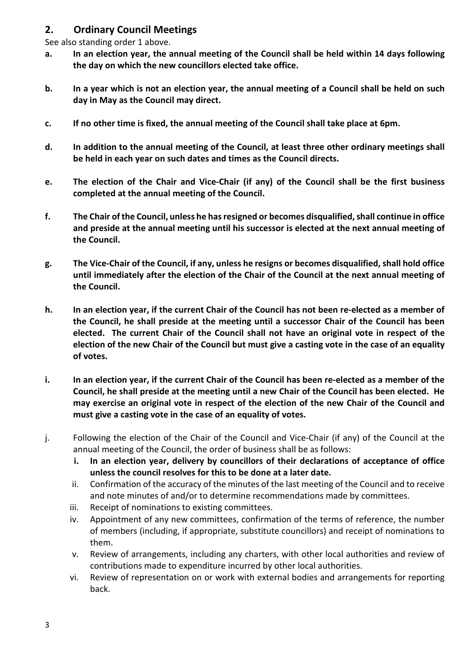## 2. Ordinary Council Meetings

See also standing order 1 above.

- a. In an election year, the annual meeting of the Council shall be held within 14 days following the day on which the new councillors elected take office.
- b. In a year which is not an election year, the annual meeting of a Council shall be held on such day in May as the Council may direct.
- c. If no other time is fixed, the annual meeting of the Council shall take place at 6pm.
- d. In addition to the annual meeting of the Council, at least three other ordinary meetings shall be held in each year on such dates and times as the Council directs.
- e. The election of the Chair and Vice-Chair (if any) of the Council shall be the first business completed at the annual meeting of the Council.
- f. The Chair of the Council, unless he has resigned or becomes disqualified, shall continue in office and preside at the annual meeting until his successor is elected at the next annual meeting of the Council.
- g. The Vice-Chair of the Council, if any, unless he resigns or becomes disqualified, shall hold office until immediately after the election of the Chair of the Council at the next annual meeting of the Council.
- h. In an election year, if the current Chair of the Council has not been re-elected as a member of the Council, he shall preside at the meeting until a successor Chair of the Council has been elected. The current Chair of the Council shall not have an original vote in respect of the election of the new Chair of the Council but must give a casting vote in the case of an equality of votes.
- i. In an election year, if the current Chair of the Council has been re-elected as a member of the Council, he shall preside at the meeting until a new Chair of the Council has been elected. He may exercise an original vote in respect of the election of the new Chair of the Council and must give a casting vote in the case of an equality of votes.
- j. Following the election of the Chair of the Council and Vice-Chair (if any) of the Council at the annual meeting of the Council, the order of business shall be as follows:
	- i. In an election year, delivery by councillors of their declarations of acceptance of office unless the council resolves for this to be done at a later date.
	- ii. Confirmation of the accuracy of the minutes of the last meeting of the Council and to receive and note minutes of and/or to determine recommendations made by committees.
	- iii. Receipt of nominations to existing committees.
	- iv. Appointment of any new committees, confirmation of the terms of reference, the number of members (including, if appropriate, substitute councillors) and receipt of nominations to them.
	- v. Review of arrangements, including any charters, with other local authorities and review of contributions made to expenditure incurred by other local authorities.
	- vi. Review of representation on or work with external bodies and arrangements for reporting back.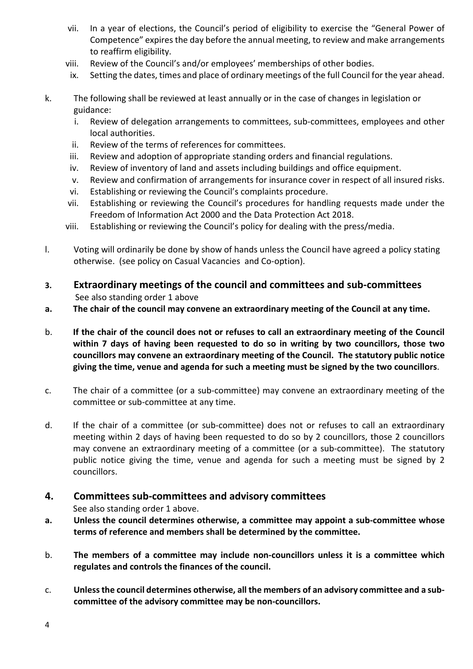- vii. In a year of elections, the Council's period of eligibility to exercise the "General Power of Competence" expires the day before the annual meeting, to review and make arrangements to reaffirm eligibility.
- viii. Review of the Council's and/or employees' memberships of other bodies.
- ix. Setting the dates, times and place of ordinary meetings of the full Council for the year ahead.
- k. The following shall be reviewed at least annually or in the case of changes in legislation or guidance:
	- i. Review of delegation arrangements to committees, sub-committees, employees and other local authorities.
	- ii. Review of the terms of references for committees.
	- iii. Review and adoption of appropriate standing orders and financial regulations.
	- iv. Review of inventory of land and assets including buildings and office equipment.
	- v. Review and confirmation of arrangements for insurance cover in respect of all insured risks.
	- vi. Establishing or reviewing the Council's complaints procedure.
	- vii. Establishing or reviewing the Council's procedures for handling requests made under the Freedom of Information Act 2000 and the Data Protection Act 2018.
	- viii. Establishing or reviewing the Council's policy for dealing with the press/media.
- l. Voting will ordinarily be done by show of hands unless the Council have agreed a policy stating otherwise. (see policy on Casual Vacancies and Co-option).
- 3. Extraordinary meetings of the council and committees and sub-committees See also standing order 1 above
- a. The chair of the council may convene an extraordinary meeting of the Council at any time.
- b. If the chair of the council does not or refuses to call an extraordinary meeting of the Council within 7 days of having been requested to do so in writing by two councillors, those two councillors may convene an extraordinary meeting of the Council. The statutory public notice giving the time, venue and agenda for such a meeting must be signed by the two councillors.
- c. The chair of a committee (or a sub-committee) may convene an extraordinary meeting of the committee or sub-committee at any time.
- d. If the chair of a committee (or sub-committee) does not or refuses to call an extraordinary meeting within 2 days of having been requested to do so by 2 councillors, those 2 councillors may convene an extraordinary meeting of a committee (or a sub-committee). The statutory public notice giving the time, venue and agenda for such a meeting must be signed by 2 councillors.

## 4. Committees sub-committees and advisory committees

See also standing order 1 above.

- a. Unless the council determines otherwise, a committee may appoint a sub-committee whose terms of reference and members shall be determined by the committee.
- b. The members of a committee may include non-councillors unless it is a committee which regulates and controls the finances of the council.
- c. Unless the council determines otherwise, all the members of an advisory committee and a subcommittee of the advisory committee may be non-councillors.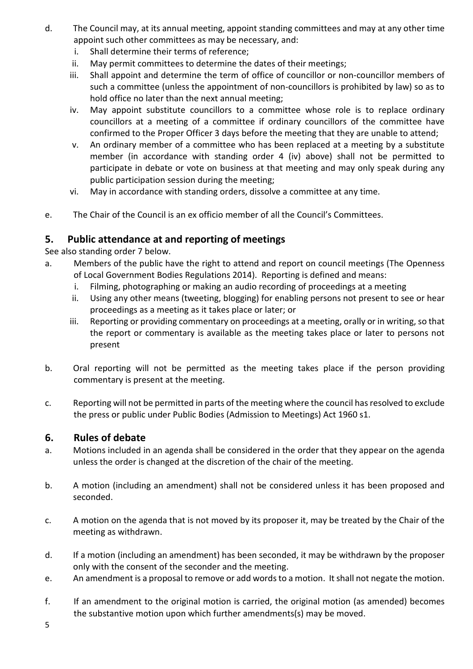- d. The Council may, at its annual meeting, appoint standing committees and may at any other time appoint such other committees as may be necessary, and:
	- i. Shall determine their terms of reference;
	- ii. May permit committees to determine the dates of their meetings;
	- iii. Shall appoint and determine the term of office of councillor or non-councillor members of such a committee (unless the appointment of non-councillors is prohibited by law) so as to hold office no later than the next annual meeting;
	- iv. May appoint substitute councillors to a committee whose role is to replace ordinary councillors at a meeting of a committee if ordinary councillors of the committee have confirmed to the Proper Officer 3 days before the meeting that they are unable to attend;
	- v. An ordinary member of a committee who has been replaced at a meeting by a substitute member (in accordance with standing order 4 (iv) above) shall not be permitted to participate in debate or vote on business at that meeting and may only speak during any public participation session during the meeting;
	- vi. May in accordance with standing orders, dissolve a committee at any time.
- e. The Chair of the Council is an ex officio member of all the Council's Committees.

## 5. Public attendance at and reporting of meetings

See also standing order 7 below.

- a. Members of the public have the right to attend and report on council meetings (The Openness of Local Government Bodies Regulations 2014). Reporting is defined and means:
	- i. Filming, photographing or making an audio recording of proceedings at a meeting
	- ii. Using any other means (tweeting, blogging) for enabling persons not present to see or hear proceedings as a meeting as it takes place or later; or
	- iii. Reporting or providing commentary on proceedings at a meeting, orally or in writing, so that the report or commentary is available as the meeting takes place or later to persons not present
- b. Oral reporting will not be permitted as the meeting takes place if the person providing commentary is present at the meeting.
- c. Reporting will not be permitted in parts of the meeting where the council has resolved to exclude the press or public under Public Bodies (Admission to Meetings) Act 1960 s1.

## 6. Rules of debate

- a. Motions included in an agenda shall be considered in the order that they appear on the agenda unless the order is changed at the discretion of the chair of the meeting.
- b. A motion (including an amendment) shall not be considered unless it has been proposed and seconded.
- c. A motion on the agenda that is not moved by its proposer it, may be treated by the Chair of the meeting as withdrawn.
- d. If a motion (including an amendment) has been seconded, it may be withdrawn by the proposer only with the consent of the seconder and the meeting.
- e. An amendment is a proposal to remove or add words to a motion. It shall not negate the motion.
- f. If an amendment to the original motion is carried, the original motion (as amended) becomes the substantive motion upon which further amendments(s) may be moved.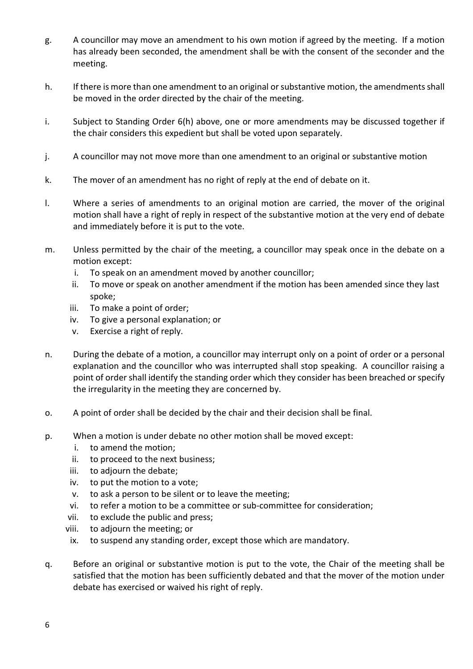- g. A councillor may move an amendment to his own motion if agreed by the meeting. If a motion has already been seconded, the amendment shall be with the consent of the seconder and the meeting.
- h. If there is more than one amendment to an original or substantive motion, the amendments shall be moved in the order directed by the chair of the meeting.
- i. Subject to Standing Order 6(h) above, one or more amendments may be discussed together if the chair considers this expedient but shall be voted upon separately.
- j. A councillor may not move more than one amendment to an original or substantive motion
- k. The mover of an amendment has no right of reply at the end of debate on it.
- l. Where a series of amendments to an original motion are carried, the mover of the original motion shall have a right of reply in respect of the substantive motion at the very end of debate and immediately before it is put to the vote.
- m. Unless permitted by the chair of the meeting, a councillor may speak once in the debate on a motion except:
	- i. To speak on an amendment moved by another councillor;
	- ii. To move or speak on another amendment if the motion has been amended since they last spoke;
	- iii. To make a point of order;
	- iv. To give a personal explanation; or
	- v. Exercise a right of reply.
- n. During the debate of a motion, a councillor may interrupt only on a point of order or a personal explanation and the councillor who was interrupted shall stop speaking. A councillor raising a point of order shall identify the standing order which they consider has been breached or specify the irregularity in the meeting they are concerned by.
- o. A point of order shall be decided by the chair and their decision shall be final.
- p. When a motion is under debate no other motion shall be moved except:
	- i. to amend the motion;
	- ii. to proceed to the next business;
	- iii. to adjourn the debate;
	- iv. to put the motion to a vote;
	- v. to ask a person to be silent or to leave the meeting;
	- vi. to refer a motion to be a committee or sub-committee for consideration;
	- vii. to exclude the public and press;
	- viii. to adjourn the meeting; or
	- ix. to suspend any standing order, except those which are mandatory.
- q. Before an original or substantive motion is put to the vote, the Chair of the meeting shall be satisfied that the motion has been sufficiently debated and that the mover of the motion under debate has exercised or waived his right of reply.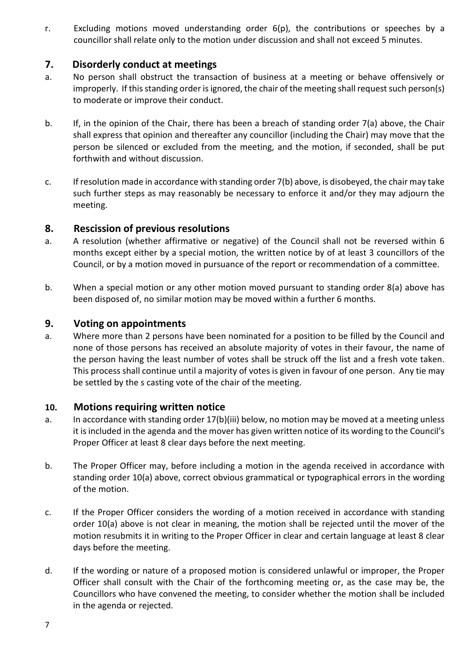r. Excluding motions moved understanding order 6(p), the contributions or speeches by a councillor shall relate only to the motion under discussion and shall not exceed 5 minutes.

## 7. Disorderly conduct at meetings

- a. No person shall obstruct the transaction of business at a meeting or behave offensively or improperly. If this standing order is ignored, the chair of the meeting shall request such person(s) to moderate or improve their conduct.
- b. If, in the opinion of the Chair, there has been a breach of standing order 7(a) above, the Chair shall express that opinion and thereafter any councillor (including the Chair) may move that the person be silenced or excluded from the meeting, and the motion, if seconded, shall be put forthwith and without discussion.
- c. If resolution made in accordance with standing order 7(b) above, is disobeyed, the chair may take such further steps as may reasonably be necessary to enforce it and/or they may adjourn the meeting.

## 8. Rescission of previous resolutions

- a. A resolution (whether affirmative or negative) of the Council shall not be reversed within 6 months except either by a special motion, the written notice by of at least 3 councillors of the Council, or by a motion moved in pursuance of the report or recommendation of a committee.
- b. When a special motion or any other motion moved pursuant to standing order 8(a) above has been disposed of, no similar motion may be moved within a further 6 months.

## 9. Voting on appointments

a. Where more than 2 persons have been nominated for a position to be filled by the Council and none of those persons has received an absolute majority of votes in their favour, the name of the person having the least number of votes shall be struck off the list and a fresh vote taken. This process shall continue until a majority of votes is given in favour of one person. Any tie may be settled by the s casting vote of the chair of the meeting.

#### 10. Motions requiring written notice

- a. In accordance with standing order 17(b)(iii) below, no motion may be moved at a meeting unless it is included in the agenda and the mover has given written notice of its wording to the Council's Proper Officer at least 8 clear days before the next meeting.
- b. The Proper Officer may, before including a motion in the agenda received in accordance with standing order 10(a) above, correct obvious grammatical or typographical errors in the wording of the motion.
- c. If the Proper Officer considers the wording of a motion received in accordance with standing order 10(a) above is not clear in meaning, the motion shall be rejected until the mover of the motion resubmits it in writing to the Proper Officer in clear and certain language at least 8 clear days before the meeting.
- d. If the wording or nature of a proposed motion is considered unlawful or improper, the Proper Officer shall consult with the Chair of the forthcoming meeting or, as the case may be, the Councillors who have convened the meeting, to consider whether the motion shall be included in the agenda or rejected.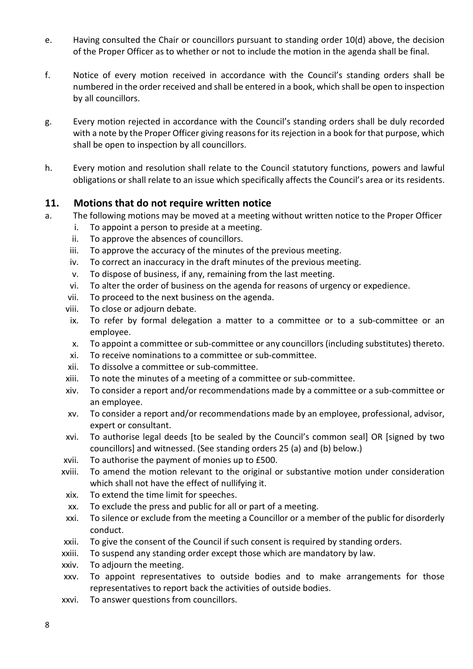- e. Having consulted the Chair or councillors pursuant to standing order 10(d) above, the decision of the Proper Officer as to whether or not to include the motion in the agenda shall be final.
- f. Notice of every motion received in accordance with the Council's standing orders shall be numbered in the order received and shall be entered in a book, which shall be open to inspection by all councillors.
- g. Every motion rejected in accordance with the Council's standing orders shall be duly recorded with a note by the Proper Officer giving reasons for its rejection in a book for that purpose, which shall be open to inspection by all councillors.
- h. Every motion and resolution shall relate to the Council statutory functions, powers and lawful obligations or shall relate to an issue which specifically affects the Council's area or its residents.

## 11. Motions that do not require written notice

- a. The following motions may be moved at a meeting without written notice to the Proper Officer
	- i. To appoint a person to preside at a meeting.
	- ii. To approve the absences of councillors.
	- iii. To approve the accuracy of the minutes of the previous meeting.
	- iv. To correct an inaccuracy in the draft minutes of the previous meeting.
	- v. To dispose of business, if any, remaining from the last meeting.
	- vi. To alter the order of business on the agenda for reasons of urgency or expedience.
	- vii. To proceed to the next business on the agenda.
	- viii. To close or adjourn debate.
	- ix. To refer by formal delegation a matter to a committee or to a sub-committee or an employee.
	- x. To appoint a committee or sub-committee or any councillors (including substitutes) thereto.
	- xi. To receive nominations to a committee or sub-committee.
	- xii. To dissolve a committee or sub-committee.
	- xiii. To note the minutes of a meeting of a committee or sub-committee.
	- xiv. To consider a report and/or recommendations made by a committee or a sub-committee or an employee.
	- xv. To consider a report and/or recommendations made by an employee, professional, advisor, expert or consultant.
	- xvi. To authorise legal deeds [to be sealed by the Council's common seal] OR [signed by two councillors] and witnessed. (See standing orders 25 (a) and (b) below.)
	- xvii. To authorise the payment of monies up to £500.
	- xviii. To amend the motion relevant to the original or substantive motion under consideration which shall not have the effect of nullifying it.
	- xix. To extend the time limit for speeches.
	- xx. To exclude the press and public for all or part of a meeting.
	- xxi. To silence or exclude from the meeting a Councillor or a member of the public for disorderly conduct.
	- xxii. To give the consent of the Council if such consent is required by standing orders.
	- xxiii. To suspend any standing order except those which are mandatory by law.
	- xxiv. To adjourn the meeting.
	- xxv. To appoint representatives to outside bodies and to make arrangements for those representatives to report back the activities of outside bodies.
	- xxvi. To answer questions from councillors.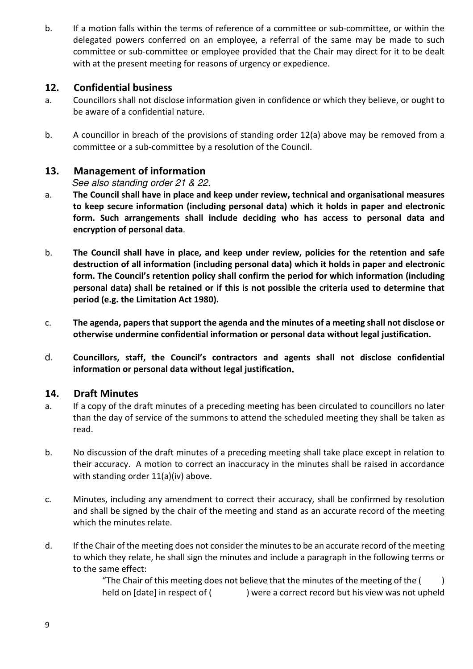b. If a motion falls within the terms of reference of a committee or sub-committee, or within the delegated powers conferred on an employee, a referral of the same may be made to such committee or sub-committee or employee provided that the Chair may direct for it to be dealt with at the present meeting for reasons of urgency or expedience.

## 12. Confidential business

- a. Councillors shall not disclose information given in confidence or which they believe, or ought to be aware of a confidential nature.
- b. A councillor in breach of the provisions of standing order 12(a) above may be removed from a committee or a sub-committee by a resolution of the Council.

#### 13. Management of information

See also standing order 21 & 22.

- a. The Council shall have in place and keep under review, technical and organisational measures to keep secure information (including personal data) which it holds in paper and electronic form. Such arrangements shall include deciding who has access to personal data and encryption of personal data.
- b. The Council shall have in place, and keep under review, policies for the retention and safe destruction of all information (including personal data) which it holds in paper and electronic form. The Council's retention policy shall confirm the period for which information (including personal data) shall be retained or if this is not possible the criteria used to determine that period (e.g. the Limitation Act 1980).
- c. The agenda, papers that support the agenda and the minutes of a meeting shall not disclose or otherwise undermine confidential information or personal data without legal justification.
- d. Councillors, staff, the Council's contractors and agents shall not disclose confidential information or personal data without legal justification**.**

#### 14. Draft Minutes

- a. If a copy of the draft minutes of a preceding meeting has been circulated to councillors no later than the day of service of the summons to attend the scheduled meeting they shall be taken as read.
- b. No discussion of the draft minutes of a preceding meeting shall take place except in relation to their accuracy. A motion to correct an inaccuracy in the minutes shall be raised in accordance with standing order 11(a)(iv) above.
- c. Minutes, including any amendment to correct their accuracy, shall be confirmed by resolution and shall be signed by the chair of the meeting and stand as an accurate record of the meeting which the minutes relate.
- d. If the Chair of the meeting does not consider the minutes to be an accurate record of the meeting to which they relate, he shall sign the minutes and include a paragraph in the following terms or to the same effect:

"The Chair of this meeting does not believe that the minutes of the meeting of the  $($ held on [date] in respect of () were a correct record but his view was not upheld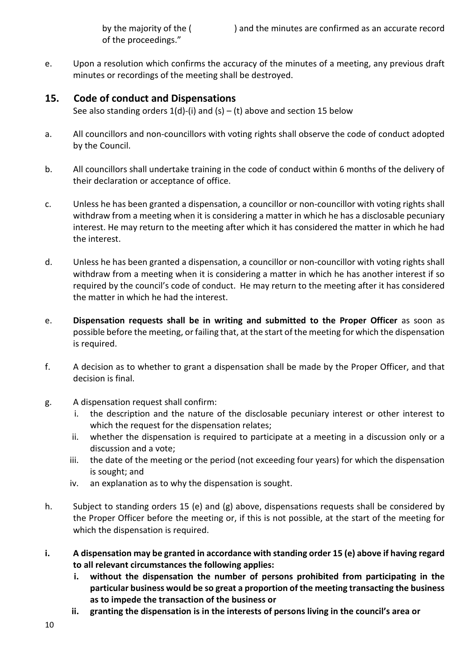of the proceedings."

e. Upon a resolution which confirms the accuracy of the minutes of a meeting, any previous draft minutes or recordings of the meeting shall be destroyed.

#### 15. Code of conduct and Dispensations

See also standing orders  $1(d)$ -(i) and (s) – (t) above and section 15 below

- a. All councillors and non-councillors with voting rights shall observe the code of conduct adopted by the Council.
- b. All councillors shall undertake training in the code of conduct within 6 months of the delivery of their declaration or acceptance of office.
- c. Unless he has been granted a dispensation, a councillor or non-councillor with voting rights shall withdraw from a meeting when it is considering a matter in which he has a disclosable pecuniary interest. He may return to the meeting after which it has considered the matter in which he had the interest.
- d. Unless he has been granted a dispensation, a councillor or non-councillor with voting rights shall withdraw from a meeting when it is considering a matter in which he has another interest if so required by the council's code of conduct. He may return to the meeting after it has considered the matter in which he had the interest.
- e. Dispensation requests shall be in writing and submitted to the Proper Officer as soon as possible before the meeting, or failing that, at the start of the meeting for which the dispensation is required.
- f. A decision as to whether to grant a dispensation shall be made by the Proper Officer, and that decision is final.
- g. A dispensation request shall confirm:
	- i. the description and the nature of the disclosable pecuniary interest or other interest to which the request for the dispensation relates;
	- ii. whether the dispensation is required to participate at a meeting in a discussion only or a discussion and a vote;
	- iii. the date of the meeting or the period (not exceeding four years) for which the dispensation is sought; and
	- iv. an explanation as to why the dispensation is sought.
- h. Subject to standing orders 15 (e) and (g) above, dispensations requests shall be considered by the Proper Officer before the meeting or, if this is not possible, at the start of the meeting for which the dispensation is required.
- i. A dispensation may be granted in accordance with standing order 15 (e) above if having regard to all relevant circumstances the following applies:
	- i. without the dispensation the number of persons prohibited from participating in the particular business would be so great a proportion of the meeting transacting the business as to impede the transaction of the business or
	- ii. granting the dispensation is in the interests of persons living in the council's area or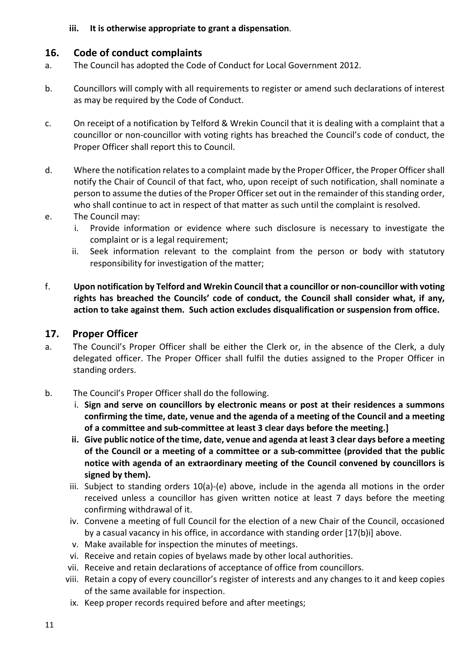#### iii. It is otherwise appropriate to grant a dispensation.

## 16. Code of conduct complaints

- a. The Council has adopted the Code of Conduct for Local Government 2012.
- b. Councillors will comply with all requirements to register or amend such declarations of interest as may be required by the Code of Conduct.
- c. On receipt of a notification by Telford & Wrekin Council that it is dealing with a complaint that a councillor or non-councillor with voting rights has breached the Council's code of conduct, the Proper Officer shall report this to Council.
- d. Where the notification relates to a complaint made by the Proper Officer, the Proper Officer shall notify the Chair of Council of that fact, who, upon receipt of such notification, shall nominate a person to assume the duties of the Proper Officer set out in the remainder of this standing order, who shall continue to act in respect of that matter as such until the complaint is resolved.
- e. The Council may:
	- i. Provide information or evidence where such disclosure is necessary to investigate the complaint or is a legal requirement;
	- ii. Seek information relevant to the complaint from the person or body with statutory responsibility for investigation of the matter;
- f. Upon notification by Telford and Wrekin Council that a councillor or non-councillor with voting rights has breached the Councils' code of conduct, the Council shall consider what, if any, action to take against them. Such action excludes disqualification or suspension from office.

## 17. Proper Officer

- a. The Council's Proper Officer shall be either the Clerk or, in the absence of the Clerk, a duly delegated officer. The Proper Officer shall fulfil the duties assigned to the Proper Officer in standing orders.
- b. The Council's Proper Officer shall do the following.
	- i. Sign and serve on councillors by electronic means or post at their residences a summons confirming the time, date, venue and the agenda of a meeting of the Council and a meeting of a committee and sub-committee at least 3 clear days before the meeting.]
	- ii. Give public notice of the time, date, venue and agenda at least 3 clear days before a meeting of the Council or a meeting of a committee or a sub-committee (provided that the public notice with agenda of an extraordinary meeting of the Council convened by councillors is signed by them).
	- iii. Subject to standing orders 10(a)-(e) above, include in the agenda all motions in the order received unless a councillor has given written notice at least 7 days before the meeting confirming withdrawal of it.
	- iv. Convene a meeting of full Council for the election of a new Chair of the Council, occasioned by a casual vacancy in his office, in accordance with standing order [17(b)i] above.
	- v. Make available for inspection the minutes of meetings.
	- vi. Receive and retain copies of byelaws made by other local authorities.
	- vii. Receive and retain declarations of acceptance of office from councillors.
	- viii. Retain a copy of every councillor's register of interests and any changes to it and keep copies of the same available for inspection.
	- ix. Keep proper records required before and after meetings;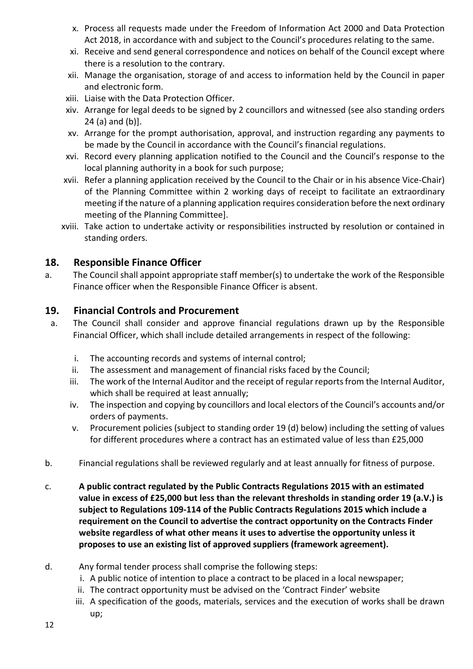- x. Process all requests made under the Freedom of Information Act 2000 and Data Protection Act 2018, in accordance with and subject to the Council's procedures relating to the same.
- xi. Receive and send general correspondence and notices on behalf of the Council except where there is a resolution to the contrary.
- xii. Manage the organisation, storage of and access to information held by the Council in paper and electronic form.
- xiii. Liaise with the Data Protection Officer.
- xiv. Arrange for legal deeds to be signed by 2 councillors and witnessed (see also standing orders 24 (a) and (b)].
- xv. Arrange for the prompt authorisation, approval, and instruction regarding any payments to be made by the Council in accordance with the Council's financial regulations.
- xvi. Record every planning application notified to the Council and the Council's response to the local planning authority in a book for such purpose;
- xvii. Refer a planning application received by the Council to the Chair or in his absence Vice-Chair) of the Planning Committee within 2 working days of receipt to facilitate an extraordinary meeting if the nature of a planning application requires consideration before the next ordinary meeting of the Planning Committee].
- xviii. Take action to undertake activity or responsibilities instructed by resolution or contained in standing orders.

## 18. Responsible Finance Officer

a. The Council shall appoint appropriate staff member(s) to undertake the work of the Responsible Finance officer when the Responsible Finance Officer is absent.

## 19. Financial Controls and Procurement

- a. The Council shall consider and approve financial regulations drawn up by the Responsible Financial Officer, which shall include detailed arrangements in respect of the following:
	- i. The accounting records and systems of internal control;
	- ii. The assessment and management of financial risks faced by the Council;
	- iii. The work of the Internal Auditor and the receipt of regular reports from the Internal Auditor, which shall be required at least annually;
	- iv. The inspection and copying by councillors and local electors of the Council's accounts and/or orders of payments.
	- v. Procurement policies (subject to standing order 19 (d) below) including the setting of values for different procedures where a contract has an estimated value of less than £25,000
- b. Financial regulations shall be reviewed regularly and at least annually for fitness of purpose.
- c. A public contract regulated by the Public Contracts Regulations 2015 with an estimated value in excess of £25,000 but less than the relevant thresholds in standing order 19 (a.V.) is subject to Regulations 109-114 of the Public Contracts Regulations 2015 which include a requirement on the Council to advertise the contract opportunity on the Contracts Finder website regardless of what other means it uses to advertise the opportunity unless it proposes to use an existing list of approved suppliers (framework agreement).
- d. Any formal tender process shall comprise the following steps:
	- i. A public notice of intention to place a contract to be placed in a local newspaper;
	- ii. The contract opportunity must be advised on the 'Contract Finder' website
	- iii. A specification of the goods, materials, services and the execution of works shall be drawn up;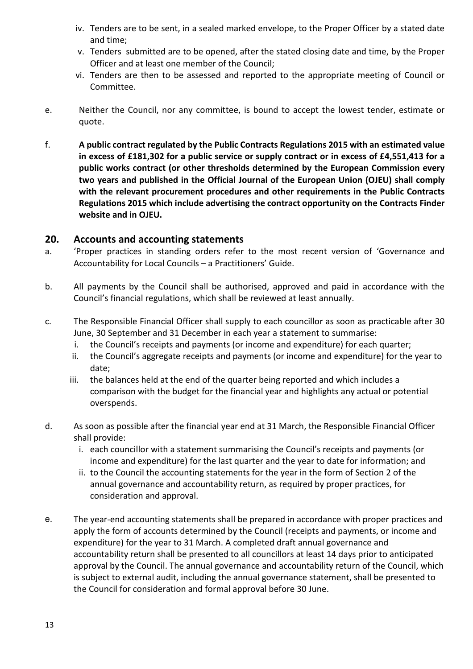- iv. Tenders are to be sent, in a sealed marked envelope, to the Proper Officer by a stated date and time;
- v. Tenders submitted are to be opened, after the stated closing date and time, by the Proper Officer and at least one member of the Council;
- vi. Tenders are then to be assessed and reported to the appropriate meeting of Council or Committee.
- e. Neither the Council, nor any committee, is bound to accept the lowest tender, estimate or quote.
- f. A public contract regulated by the Public Contracts Regulations 2015 with an estimated value in excess of £181,302 for a public service or supply contract or in excess of £4,551,413 for a public works contract (or other thresholds determined by the European Commission every two years and published in the Official Journal of the European Union (OJEU) shall comply with the relevant procurement procedures and other requirements in the Public Contracts Regulations 2015 which include advertising the contract opportunity on the Contracts Finder website and in OJEU.

#### 20. Accounts and accounting statements

- a. 'Proper practices in standing orders refer to the most recent version of 'Governance and Accountability for Local Councils – a Practitioners' Guide.
- b. All payments by the Council shall be authorised, approved and paid in accordance with the Council's financial regulations, which shall be reviewed at least annually.
- c. The Responsible Financial Officer shall supply to each councillor as soon as practicable after 30 June, 30 September and 31 December in each year a statement to summarise:
	- i. the Council's receipts and payments (or income and expenditure) for each quarter;
	- ii. the Council's aggregate receipts and payments (or income and expenditure) for the year to date;
	- iii. the balances held at the end of the quarter being reported and which includes a comparison with the budget for the financial year and highlights any actual or potential overspends.
- d. As soon as possible after the financial year end at 31 March, the Responsible Financial Officer shall provide:
	- i. each councillor with a statement summarising the Council's receipts and payments (or income and expenditure) for the last quarter and the year to date for information; and
	- ii. to the Council the accounting statements for the year in the form of Section 2 of the annual governance and accountability return, as required by proper practices, for consideration and approval.
- e. The year-end accounting statements shall be prepared in accordance with proper practices and apply the form of accounts determined by the Council (receipts and payments, or income and expenditure) for the year to 31 March. A completed draft annual governance and accountability return shall be presented to all councillors at least 14 days prior to anticipated approval by the Council. The annual governance and accountability return of the Council, which is subject to external audit, including the annual governance statement, shall be presented to the Council for consideration and formal approval before 30 June.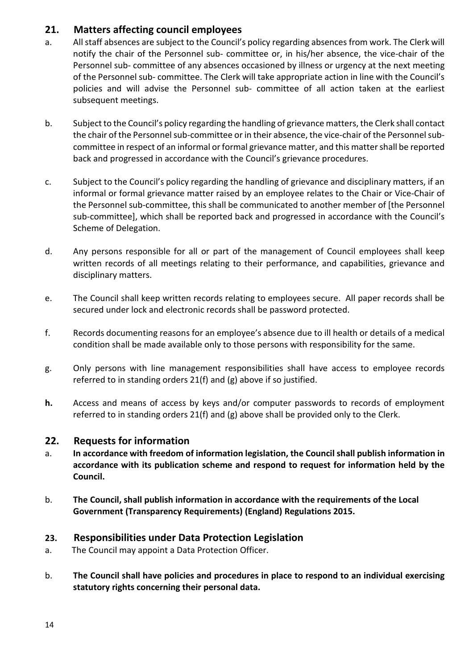## 21. Matters affecting council employees

- a. All staff absences are subject to the Council's policy regarding absences from work. The Clerk will notify the chair of the Personnel sub- committee or, in his/her absence, the vice-chair of the Personnel sub- committee of any absences occasioned by illness or urgency at the next meeting of the Personnel sub- committee. The Clerk will take appropriate action in line with the Council's policies and will advise the Personnel sub- committee of all action taken at the earliest subsequent meetings.
- b. Subject to the Council's policy regarding the handling of grievance matters, the Clerk shall contact the chair of the Personnel sub-committee or in their absence, the vice-chair of the Personnel subcommittee in respect of an informal or formal grievance matter, and this matter shall be reported back and progressed in accordance with the Council's grievance procedures.
- c. Subject to the Council's policy regarding the handling of grievance and disciplinary matters, if an informal or formal grievance matter raised by an employee relates to the Chair or Vice-Chair of the Personnel sub-committee, this shall be communicated to another member of [the Personnel sub-committee], which shall be reported back and progressed in accordance with the Council's Scheme of Delegation.
- d. Any persons responsible for all or part of the management of Council employees shall keep written records of all meetings relating to their performance, and capabilities, grievance and disciplinary matters.
- e. The Council shall keep written records relating to employees secure. All paper records shall be secured under lock and electronic records shall be password protected.
- f. Records documenting reasons for an employee's absence due to ill health or details of a medical condition shall be made available only to those persons with responsibility for the same.
- g. Only persons with line management responsibilities shall have access to employee records referred to in standing orders 21(f) and (g) above if so justified.
- h. Access and means of access by keys and/or computer passwords to records of employment referred to in standing orders 21(f) and (g) above shall be provided only to the Clerk.

## 22. Requests for information

- a. In accordance with freedom of information legislation, the Council shall publish information in accordance with its publication scheme and respond to request for information held by the Council.
- b. The Council, shall publish information in accordance with the requirements of the Local Government (Transparency Requirements) (England) Regulations 2015.

## 23. Responsibilities under Data Protection Legislation

- a. The Council may appoint a Data Protection Officer.
- b. The Council shall have policies and procedures in place to respond to an individual exercising statutory rights concerning their personal data.